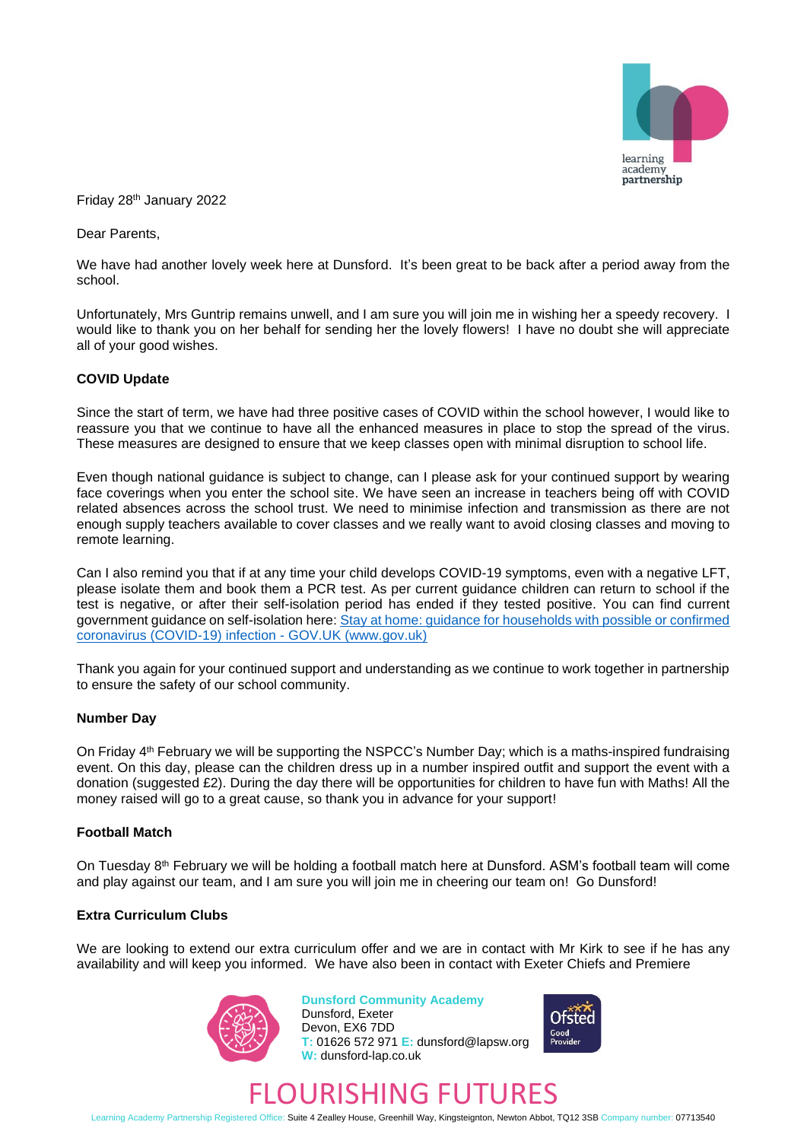

Friday 28 th January 2022

Dear Parents,

We have had another lovely week here at Dunsford. It's been great to be back after a period away from the school.

Unfortunately, Mrs Guntrip remains unwell, and I am sure you will join me in wishing her a speedy recovery. I would like to thank you on her behalf for sending her the lovely flowers! I have no doubt she will appreciate all of your good wishes.

### **COVID Update**

Since the start of term, we have had three positive cases of COVID within the school however, I would like to reassure you that we continue to have all the enhanced measures in place to stop the spread of the virus. These measures are designed to ensure that we keep classes open with minimal disruption to school life.

Even though national guidance is subject to change, can I please ask for your continued support by wearing face coverings when you enter the school site. We have seen an increase in teachers being off with COVID related absences across the school trust. We need to minimise infection and transmission as there are not enough supply teachers available to cover classes and we really want to avoid closing classes and moving to remote learning.

Can I also remind you that if at any time your child develops COVID-19 symptoms, even with a negative LFT, please isolate them and book them a PCR test. As per current guidance children can return to school if the test is negative, or after their self-isolation period has ended if they tested positive. You can find current government guidance on self-isolation here: [Stay at home: guidance for households with possible or confirmed](https://www.gov.uk/government/publications/covid-19-stay-at-home-guidance/stay-at-home-guidance-for-households-with-possible-coronavirus-covid-19-infection)  [coronavirus \(COVID-19\) infection -](https://www.gov.uk/government/publications/covid-19-stay-at-home-guidance/stay-at-home-guidance-for-households-with-possible-coronavirus-covid-19-infection) GOV.UK (www.gov.uk)

Thank you again for your continued support and understanding as we continue to work together in partnership to ensure the safety of our school community.

### **Number Day**

On Friday 4<sup>th</sup> February we will be supporting the NSPCC's Number Day; which is a maths-inspired fundraising event. On this day, please can the children dress up in a number inspired outfit and support the event with a donation (suggested £2). During the day there will be opportunities for children to have fun with Maths! All the money raised will go to a great cause, so thank you in advance for your support!

## **Football Match**

On Tuesday 8<sup>th</sup> February we will be holding a football match here at Dunsford. ASM's football team will come and play against our team, and I am sure you will join me in cheering our team on! Go Dunsford!

### **Extra Curriculum Clubs**

We are looking to extend our extra curriculum offer and we are in contact with Mr Kirk to see if he has any availability and will keep you informed. We have also been in contact with Exeter Chiefs and Premiere



**Dunsford Community Academy** Dunsford, Exeter Devon, EX6 7DD **T:** 01626 572 971 **E:** dunsford@lapsw.org **W:** dunsford-lap.co.uk



# FLOURISHING FUTURES

Learning Academy Partnership Registered Office: Suite 4 Zealley House, Greenhill Way, Kingsteignton, Newton Abbot, TQ12 3SB Company number: 07713540